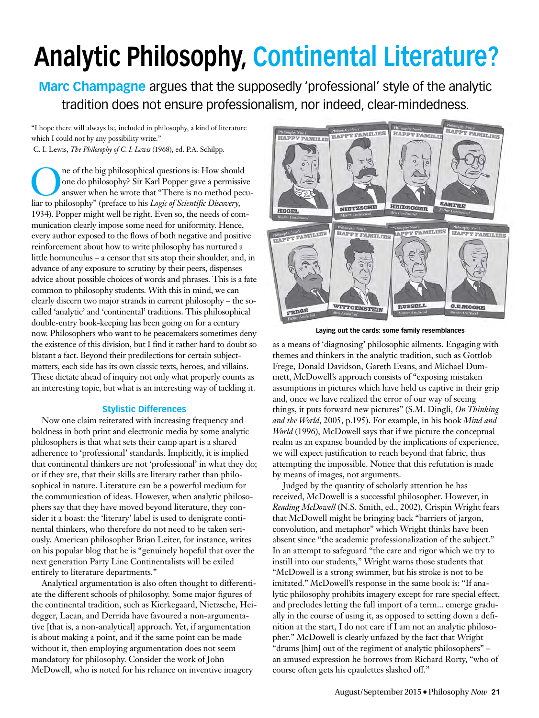# **Analytic Philosophy, Continental Literature?**

**Marc Champagne** argues that the supposedly 'professional' style of the analytic tradition does not ensure professionalism, nor indeed, clear-mindedness.

"I hope there will always be, included in philosophy, a kind of literature which I could not by any possibility write."

C. I. Lewis, *The Philosophy of C. I. Lewis* (1968), ed. P.A. Schilpp.

The of the big philosophical questions is: How should<br>one do philosophy? Sir Karl Popper gave a permissive<br>answer when he wrote that "There is no method pec<br>liar to philosophy" (preface to his Logic of Scientific Discovery one do philosophy? Sir Karl Popper gave a permissive answer when he wrote that "There is no method peculiar to philosophy" (preface to his *Logic of Scientific Discovery,* 1934). Popper might well be right. Even so, the needs of communication clearly impose some need for uniformity. Hence, every author exposed to the flows of both negative and positive reinforcement about how to write philosophy has nurtured a little homunculus – a censor that sits atop their shoulder, and, in advance of any exposure to scrutiny by their peers, dispenses advice about possible choices of words and phrases. This is a fate common to philosophy students. With this in mind, we can clearly discern two major strands in current philosophy – the socalled 'analytic' and 'continental' traditions. This philosophical double-entry book-keeping has been going on for a century now. Philosophers who want to be peacemakers sometimes deny the existence of this division, but I find it rather hard to doubt so blatant a fact. Beyond their predilections for certain subjectmatters, each side has its own classic texts, heroes, and villains. These dictate ahead of inquiry not only what properly counts as an interesting topic, but what is an interesting way of tackling it.

## **Stylistic Differences**

Now one claim reiterated with increasing frequency and boldness in both print and electronic media by some analytic philosophers is that what sets their camp apart is a shared adherence to 'professional' standards. Implicitly, it is implied that continental thinkers are not 'professional' in what they do; or if they are, that their skills are literary rather than philosophical in nature. Literature can be a powerful medium for the communication of ideas. However, when analytic philosophers say that they have moved beyond literature, they consider it a boast: the 'literary' label is used to denigrate continental thinkers, who therefore do not need to be taken seriously. American philosopher Brian Leiter, for instance, writes on his popular blog that he is "genuinely hopeful that over the next generation Party Line Continentalists will be exiled entirely to literature departments."

Analytical argumentation is also often thought to differentiate the different schools of philosophy. Some major figures of the continental tradition, such as Kierkegaard, Nietzsche, Heidegger, Lacan, and Derrida have favoured a non-argumentative [that is, a non-analytical] approach. Yet, if argumentation is about making a point, and if the same point can be made without it, then employing argumentation does not seem mandatory for philosophy. Consider the work of John McDowell, who is noted for his reliance on inventive imagery



**Laying out the cards: some family resemblances**

as a means of 'diagnosing' philosophic ailments. Engaging with themes and thinkers in the analytic tradition, such as Gottlob Frege, Donald Davidson, Gareth Evans, and Michael Dummett, McDowell's approach consists of "exposing mistaken assumptions in pictures which have held us captive in their grip and, once we have realized the error of our way of seeing things, it puts forward new pictures" (S.M. Dingli, *On Thinking and the World*, 2005, p.195). For example, in his book *Mind and World* (1996), McDowell says that if we picture the conceptual realm as an expanse bounded by the implications of experience, we will expect justification to reach beyond that fabric, thus attempting the impossible. Notice that this refutation is made by means of images, not arguments.

Judged by the quantity of scholarly attention he has received, McDowell is a successful philosopher. However, in *Reading McDowell* (N.S. Smith, ed., 2002), Crispin Wright fears that McDowell might be bringing back "barriers of jargon, convolution, and metaphor" which Wright thinks have been absent since "the academic professionalization of the subject." In an attempt to safeguard "the care and rigor which we try to instill into our students," Wright warns those students that "McDowell is a strong swimmer, but his stroke is not to be imitated." McDowell's response in the same book is: "If analytic philosophy prohibits imagery except for rare special effect, and precludes letting the full import of a term... emerge gradually in the course of using it, as opposed to setting down a definition at the start, I do not care if I am not an analytic philosopher." McDowell is clearly unfazed by the fact that Wright "drums [him] out of the regiment of analytic philosophers" – an amused expression he borrows from Richard Rorty, "who of course often gets his epaulettes slashed off."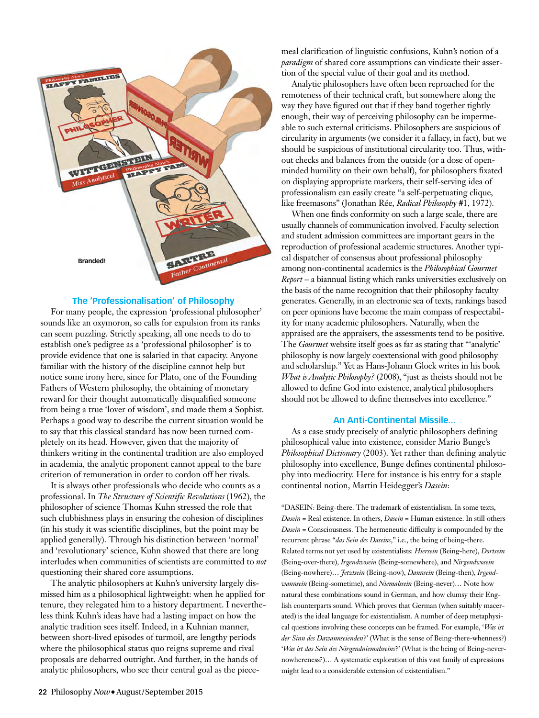

### **The 'Professionalisation' of Philosophy**

For many people, the expression 'professional philosopher' sounds like an oxymoron, so calls for expulsion from its ranks can seem puzzling. Strictly speaking, all one needs to do to establish one's pedigree as a 'professional philosopher' is to provide evidence that one is salaried in that capacity. Anyone familiar with the history of the discipline cannot help but notice some irony here, since for Plato, one of the Founding Fathers of Western philosophy, the obtaining of monetary reward for their thought automatically disqualified someone from being a true 'lover of wisdom', and made them a Sophist. Perhaps a good way to describe the current situation would be to say that this classical standard has now been turned completely on its head. However, given that the majority of thinkers writing in the continental tradition are also employed in academia, the analytic proponent cannot appeal to the bare criterion of remuneration in order to cordon off her rivals.

It is always other professionals who decide who counts as a professional. In *The Structure of Scientific Revolutions* (1962), the philosopher of science Thomas Kuhn stressed the role that such clubbishness plays in ensuring the cohesion of disciplines (in his study it was scientific disciplines, but the point may be applied generally). Through his distinction between 'normal' and 'revolutionary' science, Kuhn showed that there are long interludes when communities of scientists are committed to *not* questioning their shared core assumptions.

The analytic philosophers at Kuhn's university largely dismissed him as a philosophical lightweight: when he applied for tenure, they relegated him to a history department. I nevertheless think Kuhn's ideas have had a lasting impact on how the analytic tradition sees itself. Indeed, in a Kuhnian manner, between short-lived episodes of turmoil, are lengthy periods where the philosophical status quo reigns supreme and rival proposals are debarred outright. And further, in the hands of analytic philosophers, who see their central goal as the piece-

meal clarification of linguistic confusions, Kuhn's notion of a *paradigm* of shared core assumptions can vindicate their assertion of the special value of their goal and its method.

Analytic philosophers have often been reproached for the remoteness of their technical craft, but somewhere along the way they have figured out that if they band together tightly enough, their way of perceiving philosophy can be impermeable to such external criticisms. Philosophers are suspicious of circularity in arguments (we consider it a fallacy, in fact), but we should be suspicious of institutional circularity too. Thus, without checks and balances from the outside (or a dose of openminded humility on their own behalf), for philosophers fixated on displaying appropriate markers, their self-serving idea of professionalism can easily create "a self-perpetuating clique, like freemasons" (Jonathan Rée, *Radical Philosophy* #1, 1972).

When one finds conformity on such a large scale, there are usually channels of communication involved. Faculty selection and student admission committees are important gears in the reproduction of professional academic structures. Another typical dispatcher of consensus about professional philosophy among non-continental academics is the *Philosophical Gourmet Report* – a biannual listing which ranks universities exclusively on the basis of the name recognition that their philosophy faculty generates. Generally, in an electronic sea of texts, rankings based on peer opinions have become the main compass of respectability for many academic philosophers. Naturally, when the appraised are the appraisers, the assessments tend to be positive. The *Gourmet* website itself goes as far as stating that "'analytic' philosophy is now largely coextensional with good philosophy and scholarship." Yet as Hans-Johann Glock writes in his book *What is Analytic Philosophy?* (2008), "just as theists should not be allowed to define God into existence, analytical philosophers should not be allowed to define themselves into excellence."

#### **An Anti-Continental Missile...**

As a case study precisely of analytic philosophers defining philosophical value into existence, consider Mario Bunge's *Philosophical Dictionary* (2003). Yet rather than defining analytic philosophy into excellence, Bunge defines continental philosophy into mediocrity. Here for instance is his entry for a staple continental notion, Martin Heidegger's *Dasein*:

"DASEIN: Being-there. The trademark of existentialism. In some texts, *Dasein* = Real existence. In others, *Dasein* = Human existence. In still others *Dasein* = Consciousness. The hermeneutic difficulty is compounded by the recurrent phrase "*das Sein des Daseins*," i.e., the being of being-there. Related terms not yet used by existentialists: *Hiersein* (Being-here), *Dortsein* (Being-over-there), *Irgendwosein* (Being-somewhere), and *Nirgendwosein* (Being-nowhere)… *Jetztsein* (Being-now), *Dannsein* (Being-then), *Irgendwannsein* (Being-sometime), and *Niemalssein* (Being-never)… Note how natural these combinations sound in German, and how clumsy their English counterparts sound. Which proves that German (when suitably macerated) is the ideal language for existentialism. A number of deep metaphysical questions involving these concepts can be framed. For example, '*Was ist der Sinn des Dawannseienden*?' (What is the sense of Being-there-whenness?) '*Was ist das Sein des Nirgendniemalsseins*?' (What is the being of Being-nevernowhereness?)… A systematic exploration of this vast family of expressions might lead to a considerable extension of existentialism."